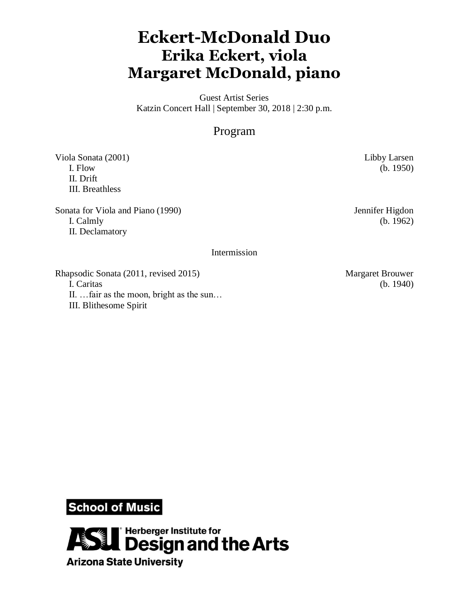## **Eckert-McDonald Duo Erika Eckert, viola Margaret McDonald, piano**

Guest Artist Series Katzin Concert Hall | September 30, 2018 | 2:30 p.m.

## Program

Viola Sonata (2001) Libby Larsen I. Flow (b. 1950) II. Drift III. Breathless

Sonata for Viola and Piano (1990) Jennifer Higdon I. Calmly (b. 1962) II. Declamatory

## Intermission

Rhapsodic Sonata (2011, revised 2015) Margaret Brouwer I. Caritas (b. 1940) II. …fair as the moon, bright as the sun… III. Blithesome Spirit

**School of Music** 

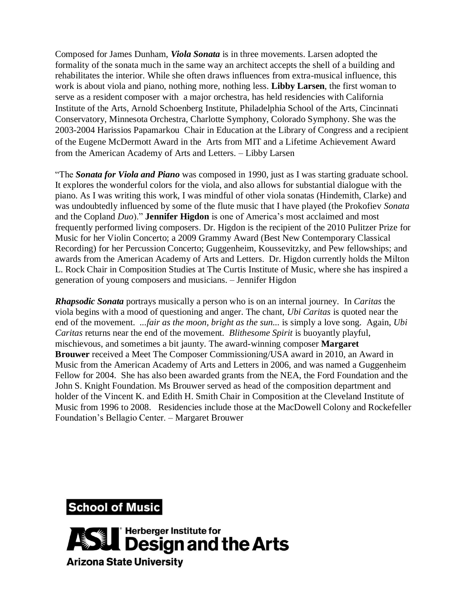Composed for James Dunham, *Viola Sonata* is in three movements. Larsen adopted the formality of the sonata much in the same way an architect accepts the shell of a building and rehabilitates the interior. While she often draws influences from extra-musical influence, this work is about viola and piano, nothing more, nothing less. **Libby Larsen**, the first woman to serve as a resident composer with a major orchestra, has held residencies with California Institute of the Arts, Arnold Schoenberg Institute, Philadelphia School of the Arts, Cincinnati Conservatory, Minnesota Orchestra, Charlotte Symphony, Colorado Symphony. She was the 2003-2004 Harissios Papamarkou Chair in Education at the Library of Congress and a recipient of the Eugene McDermott Award in the Arts from MIT and a Lifetime Achievement Award from the American Academy of Arts and Letters. – Libby Larsen

"The *Sonata for Viola and Piano* was composed in 1990, just as I was starting graduate school. It explores the wonderful colors for the viola, and also allows for substantial dialogue with the piano. As I was writing this work, I was mindful of other viola sonatas (Hindemith, Clarke) and was undoubtedly influenced by some of the flute music that I have played (the Prokofiev *Sonata* and the Copland *Duo*)." **Jennifer Higdon** is one of America's most acclaimed and most frequently performed living composers. Dr. Higdon is the recipient of the 2010 Pulitzer Prize for Music for her Violin Concerto; a 2009 Grammy Award (Best New Contemporary Classical Recording) for her Percussion Concerto; Guggenheim, Koussevitzky, and Pew fellowships; and awards from the American Academy of Arts and Letters. Dr. Higdon currently holds the Milton L. Rock Chair in Composition Studies at The Curtis Institute of Music, where she has inspired a generation of young composers and musicians. – Jennifer Higdon

*Rhapsodic Sonata* portrays musically a person who is on an internal journey. In *Caritas* the viola begins with a mood of questioning and anger. The chant, *Ubi Caritas* is quoted near the end of the movement. *...fair as the moon, bright as the sun...* is simply a love song. Again, *Ubi Caritas* returns near the end of the movement. *Blithesome Spirit* is buoyantly playful, mischievous, and sometimes a bit jaunty. The award-winning composer **Margaret Brouwer** received a Meet The Composer Commissioning/USA award in 2010, an Award in Music from the American Academy of Arts and Letters in 2006, and was named a Guggenheim Fellow for 2004. She has also been awarded grants from the NEA, the Ford Foundation and the John S. Knight Foundation. Ms Brouwer served as head of the composition department and holder of the Vincent K. and Edith H. Smith Chair in Composition at the Cleveland Institute of Music from 1996 to 2008. Residencies include those at the MacDowell Colony and Rockefeller Foundation's Bellagio Center. – Margaret Brouwer



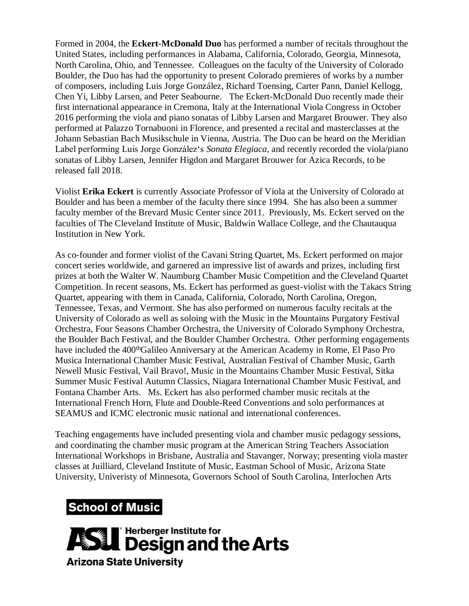Formed in 2004, the **Eckert-McDonald Duo** has performed a number of recitals throughout the United States, including performances in Alabama, California, Colorado, Georgia, Minnesota, North Carolina, Ohio, and Tennessee. Colleagues on the faculty of the University of Colorado Boulder, the Duo has had the opportunity to present Colorado premieres of works by a number of composers, including Luis Jorge González, Richard Toensing, Carter Pann, Daniel Kellogg, Chen Yi, Libby Larsen, and Peter Seabourne. The Eckert-McDonald Duo recently made their first international appearance in Cremona, Italy at the International Viola Congress in October 2016 performing the viola and piano sonatas of Libby Larsen and Margaret Brouwer. They also performed at Palazzo Tornabuoni in Florence, and presented a recital and masterclasses at the Johann Sebastian Bach Musikschule in Vienna, Austria. The Duo can be heard on the Meridian Label performing Luis Jorge González's *Sonata Elegiaca*, and recently recorded the viola/piano sonatas of Libby Larsen, Jennifer Higdon and Margaret Brouwer for Azica Records, to be released fall 2018.

Violist **Erika Eckert** is currently Associate Professor of Viola at the University of Colorado at Boulder and has been a member of the faculty there since 1994. She has also been a summer faculty member of the Brevard Music Center since 2011. Previously, Ms. Eckert served on the faculties of The Cleveland Institute of Music, Baldwin Wallace College, and the Chautauqua Institution in New York.

As co-founder and former violist of the Cavani String Quartet, Ms. Eckert performed on major concert series worldwide, and garnered an impressive list of awards and prizes, including first prizes at both the Walter W. Naumburg Chamber Music Competition and the Cleveland Quartet Competition. In recent seasons, Ms. Eckert has performed as guest-violist with the Takacs String Quartet, appearing with them in Canada, California, Colorado, North Carolina, Oregon, Tennessee, Texas, and Vermont. She has also performed on numerous faculty recitals at the University of Colorado as well as soloing with the Music in the Mountains Purgatory Festival Orchestra, Four Seasons Chamber Orchestra, the University of Colorado Symphony Orchestra, the Boulder Bach Festival, and the Boulder Chamber Orchestra. Other performing engagements have included the 400<sup>th</sup>Galileo Anniversary at the American Academy in Rome, El Paso Pro Musica International Chamber Music Festival, Australian Festival of Chamber Music, Garth Newell Music Festival, Vail Bravo!, Music in the Mountains Chamber Music Festival, Sitka Summer Music Festival Autumn Classics, Niagara International Chamber Music Festival, and Fontana Chamber Arts. Ms. Eckert has also performed chamber music recitals at the International French Horn, Flute and Double-Reed Conventions and solo performances at SEAMUS and ICMC electronic music national and international conferences.

Teaching engagements have included presenting viola and chamber music pedagogy sessions, and coordinating the chamber music program at the American String Teachers Association International Workshops in Brisbane, Australia and Stavanger, Norway; presenting viola master classes at Juilliard, Cleveland Institute of Music, Eastman School of Music, Arizona State University, Univeristy of Minnesota, Governors School of South Carolina, Interlochen Arts

## **School of Music**